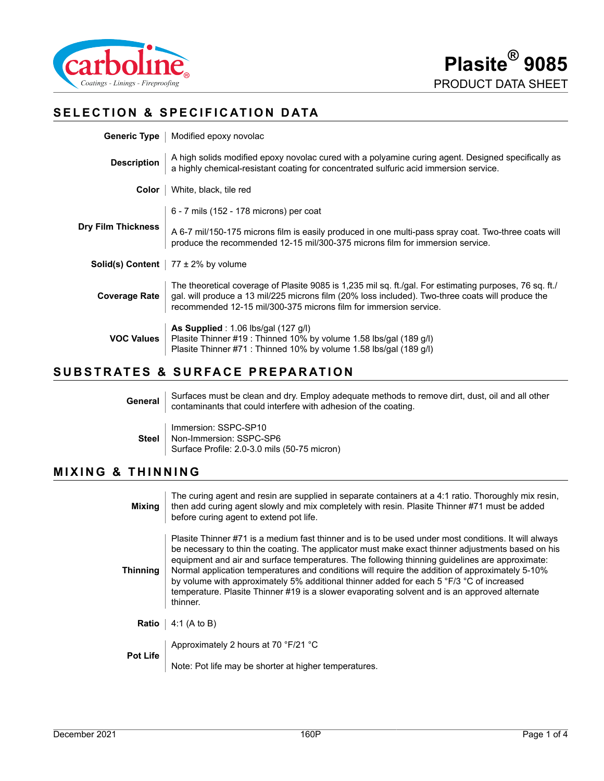

# **SELECTION & SPECIFICATION DATA**

| <b>Generic Type</b>   Modified epoxy novolac                                                                                                                                                                                                                                      |
|-----------------------------------------------------------------------------------------------------------------------------------------------------------------------------------------------------------------------------------------------------------------------------------|
| A high solids modified epoxy novolac cured with a polyamine curing agent. Designed specifically as<br>a highly chemical-resistant coating for concentrated sulfuric acid immersion service.                                                                                       |
| White, black, tile red                                                                                                                                                                                                                                                            |
| 6 - 7 mils (152 - 178 microns) per coat                                                                                                                                                                                                                                           |
| A 6-7 mil/150-175 microns film is easily produced in one multi-pass spray coat. Two-three coats will<br>produce the recommended 12-15 mil/300-375 microns film for immersion service.                                                                                             |
| <b>Solid(s) Content</b>   $77 \pm 2\%$ by volume                                                                                                                                                                                                                                  |
| The theoretical coverage of Plasite 9085 is 1,235 mil sq. ft./gal. For estimating purposes, 76 sq. ft./<br>gal. will produce a 13 mil/225 microns film (20% loss included). Two-three coats will produce the<br>recommended 12-15 mil/300-375 microns film for immersion service. |
| As Supplied : $1.06$ lbs/gal (127 g/l)<br>Plasite Thinner #19 : Thinned 10% by volume 1.58 lbs/gal (189 g/l)<br>Plasite Thinner #71 : Thinned 10% by volume 1.58 lbs/gal (189 g/l)                                                                                                |
|                                                                                                                                                                                                                                                                                   |

# **SUBSTRATES & SURFACE PREPARATION**

**General** Surfaces must be clean and dry. Employ adequate methods to remove dirt, dust, oil and all other contaminants that could interfere with adhesion of the coating. **Steel** Immersion: SSPC-SP10 Non-Immersion: SSPC-SP6 Surface Profile: 2.0-3.0 mils (50-75 micron)

#### **MIXING & THINNING**

| Mixing   | The curing agent and resin are supplied in separate containers at a 4:1 ratio. Thoroughly mix resin,<br>then add curing agent slowly and mix completely with resin. Plasite Thinner #71 must be added<br>before curing agent to extend pot life.                                                                                                                                                                                                                                                                                                                                                                        |
|----------|-------------------------------------------------------------------------------------------------------------------------------------------------------------------------------------------------------------------------------------------------------------------------------------------------------------------------------------------------------------------------------------------------------------------------------------------------------------------------------------------------------------------------------------------------------------------------------------------------------------------------|
| Thinning | Plasite Thinner #71 is a medium fast thinner and is to be used under most conditions. It will always<br>be necessary to thin the coating. The applicator must make exact thinner adjustments based on his<br>equipment and air and surface temperatures. The following thinning quidelines are approximate:<br>Normal application temperatures and conditions will require the addition of approximately 5-10%<br>by volume with approximately 5% additional thinner added for each 5 °F/3 °C of increased<br>temperature. Plasite Thinner #19 is a slower evaporating solvent and is an approved alternate<br>thinner. |
| Ratio    | 4:1 (A to B)                                                                                                                                                                                                                                                                                                                                                                                                                                                                                                                                                                                                            |
| Pot Life | Approximately 2 hours at 70 °F/21 °C                                                                                                                                                                                                                                                                                                                                                                                                                                                                                                                                                                                    |
|          | Note: Pot life may be shorter at higher temperatures.                                                                                                                                                                                                                                                                                                                                                                                                                                                                                                                                                                   |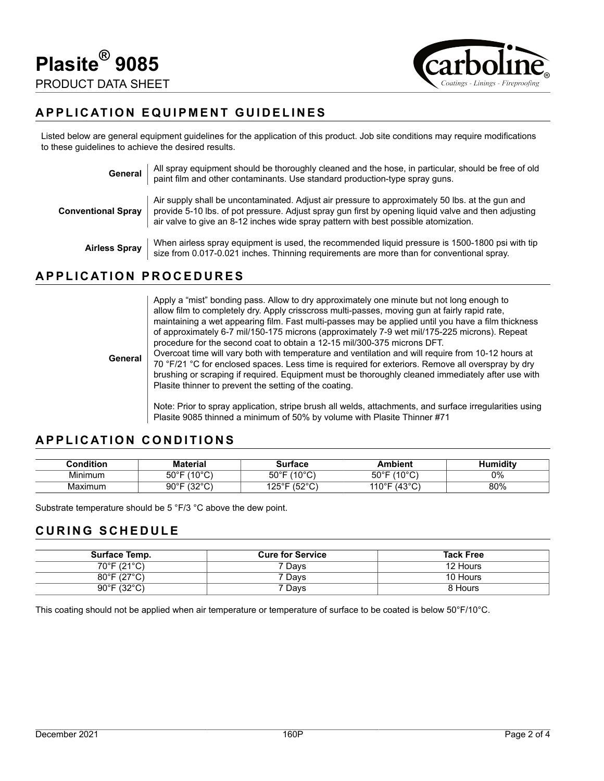

## **APPLICATION EQUIPMENT GUIDELINES**

Listed below are general equipment guidelines for the application of this product. Job site conditions may require modifications to these guidelines to achieve the desired results.

| General                   | All spray equipment should be thoroughly cleaned and the hose, in particular, should be free of old<br>paint film and other contaminants. Use standard production-type spray guns.                                                                                                             |
|---------------------------|------------------------------------------------------------------------------------------------------------------------------------------------------------------------------------------------------------------------------------------------------------------------------------------------|
| <b>Conventional Spray</b> | Air supply shall be uncontaminated. Adjust air pressure to approximately 50 lbs. at the gun and<br>provide 5-10 lbs. of pot pressure. Adjust spray gun first by opening liquid valve and then adjusting<br>air valve to give an 8-12 inches wide spray pattern with best possible atomization. |
| <b>Airless Spray</b>      | When airless spray equipment is used, the recommended liquid pressure is 1500-1800 psi with tip<br>size from 0.017-0.021 inches. Thinning requirements are more than for conventional spray.                                                                                                   |

#### **APPLICATION PROCEDURES**

Apply a "mist" bonding pass. Allow to dry approximately one minute but not long enough to allow film to completely dry. Apply crisscross multi-passes, moving gun at fairly rapid rate, maintaining a wet appearing film. Fast multi-passes may be applied until you have a film thickness of approximately 6-7 mil/150-175 microns (approximately 7-9 wet mil/175-225 microns). Repeat procedure for the second coat to obtain a 12-15 mil/300-375 microns DFT.

**General** Overcoat time will vary both with temperature and ventilation and will require from 10-12 hours at 70 °F/21 °C for enclosed spaces. Less time is required for exteriors. Remove all overspray by dry brushing or scraping if required. Equipment must be thoroughly cleaned immediately after use with Plasite thinner to prevent the setting of the coating.

> Note: Prior to spray application, stripe brush all welds, attachments, and surface irregularities using Plasite 9085 thinned a minimum of 50% by volume with Plasite Thinner #71

#### **APPLICATION CONDITIONS**

| .conditionث  | Aaterial                        | ™*face i                     | <b>\mbient</b>                          | .<br>umiditv |
|--------------|---------------------------------|------------------------------|-----------------------------------------|--------------|
| .<br>Minimum | 1000<br>$50^{\circ}$ F          | 10001<br>⊏∩∘⊏<br>υv          | $1400^\circ$<br>50°F                    | 0%           |
| Maximum      | 10000<br>$90^\circ$ F<br>ັ<br>ັ | (0.00)<br>ں ے .<br>َ ب<br>◡▵ | 1000<br>110° <sup>⊏</sup><br>، 4٠<br>J. | 80%          |

Substrate temperature should be 5 °F/3 °C above the dew point.

#### **CURING SCHEDULE**

| Surface Temp.                    | <b>Cure for Service</b> | <b>Tack Free</b> |
|----------------------------------|-------------------------|------------------|
| $70^{\circ}$ F (21 $^{\circ}$ C) | 7 Davs                  | 12 Hours         |
| $80^{\circ}$ F (27 $^{\circ}$ C) | ' Davs                  | 10 Hours         |
| $90^{\circ}$ F (32 $^{\circ}$ C) | Days                    | 8 Hours          |

This coating should not be applied when air temperature or temperature of surface to be coated is below 50°F/10°C.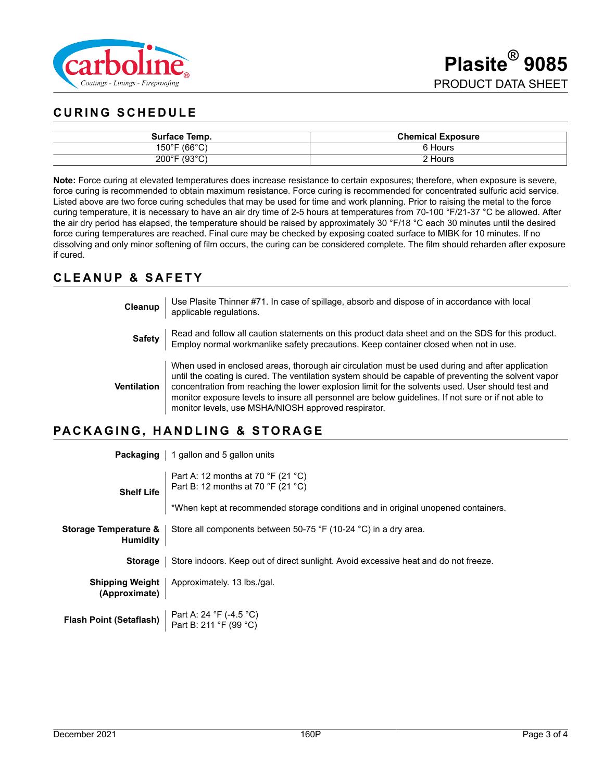

# **CURING SCHEDULE**

| Surface Temp.                                                    | <b>Chemical Exposure</b> |
|------------------------------------------------------------------|--------------------------|
| $\sim$ (66°C)<br>$150^{\circ}$ F                                 | Hours                    |
| $\sqrt{2}$<br>$200^{\circ}$ F<br>ັບລ<br>$\overline{\phantom{0}}$ | Hours                    |

**Note:** Force curing at elevated temperatures does increase resistance to certain exposures; therefore, when exposure is severe, force curing is recommended to obtain maximum resistance. Force curing is recommended for concentrated sulfuric acid service. Listed above are two force curing schedules that may be used for time and work planning. Prior to raising the metal to the force curing temperature, it is necessary to have an air dry time of 2-5 hours at temperatures from 70-100 °F/21-37 °C be allowed. After the air dry period has elapsed, the temperature should be raised by approximately 30 °F/18 °C each 30 minutes until the desired force curing temperatures are reached. Final cure may be checked by exposing coated surface to MIBK for 10 minutes. If no dissolving and only minor softening of film occurs, the curing can be considered complete. The film should reharden after exposure if cured.

### **CLEANUP & SAFETY**

**Cleanup** Use Plasite Thinner #71. In case of spillage, absorb and dispose of in accordance with local applicable regulations.

**Safety** Read and follow all caution statements on this product data sheet and on the SDS for this product. Employ normal workmanlike safety precautions. Keep container closed when not in use.

**Ventilation** When used in enclosed areas, thorough air circulation must be used during and after application until the coating is cured. The ventilation system should be capable of preventing the solvent vapor concentration from reaching the lower explosion limit for the solvents used. User should test and monitor exposure levels to insure all personnel are below guidelines. If not sure or if not able to monitor levels, use MSHA/NIOSH approved respirator.

## **PACKAGING, HANDLING & STORAGE**

|                                          | <b>Packaging</b>   1 gallon and 5 gallon units                                             |
|------------------------------------------|--------------------------------------------------------------------------------------------|
| <b>Shelf Life</b>                        | Part A: 12 months at 70 $\degree$ F (21 $\degree$ C)<br>Part B: 12 months at 70 °F (21 °C) |
|                                          | *When kept at recommended storage conditions and in original unopened containers.          |
| Storage Temperature &<br><b>Humidity</b> | Store all components between 50-75 °F (10-24 °C) in a dry area.                            |
| <b>Storage</b>                           | Store indoors. Keep out of direct sunlight. Avoid excessive heat and do not freeze.        |
| <b>Shipping Weight</b><br>(Approximate)  | Approximately. 13 lbs./gal.                                                                |
| <b>Flash Point (Setaflash)</b>           | Part A: 24 °F (-4.5 °C)<br>Part B: 211 °F (99 °C)                                          |